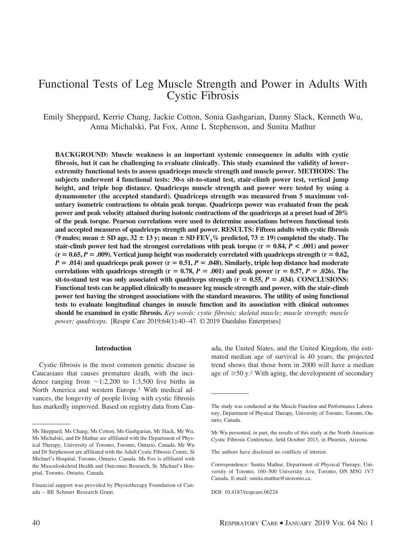# Functional Tests of Leg Muscle Strength and Power in Adults With Cystic Fibrosis

Emily Sheppard, Kerrie Chang, Jackie Cotton, Sonia Gashgarian, Danny Slack, Kenneth Wu, Anna Michalski, Pat Fox, Anne L Stephenson, and Sunita Mathur

**BACKGROUND: Muscle weakness is an important systemic consequence in adults with cystic fibrosis, but it can be challenging to evaluate clinically. This study examined the validity of lowerextremity functional tests to assess quadriceps muscle strength and muscle power. METHODS: The subjects underwent 4 functional tests: 30-s sit-to-stand test, stair-climb power test, vertical jump height, and triple hop distance. Quadriceps muscle strength and power were tested by using a dynamometer (the accepted standard). Quadriceps strength was measured from 5 maximum voluntary isometric contractions to obtain peak torque. Quadriceps power was evaluated from the peak power and peak velocity attained during isotonic contractions of the quadriceps at a preset load of 20% of the peak torque. Pearson correlations were used to determine associations between functional tests and accepted measures of quadriceps strength and power. RESULTS: Fifteen adults with cystic fibrosis** (9 males; mean  $\pm$  SD age, 32  $\pm$  13 y; mean  $\pm$  SD FEV<sub>1</sub>% predicted, 73  $\pm$  19) completed the study. The **stair-climb power test had the strongest correlations with peak torque (** $r = 0.84$ **,**  $P < .001$ **) and power**  $(r = 0.65, P = .009)$ . Vertical jump height was moderately correlated with quadriceps strength  $(r = 0.62, P = .009)$ .  $P = .014$ ) and quadriceps peak power ( $r = 0.51$ ,  $P = .048$ ). Similarly, triple hop distance had moderate **correlations with quadriceps strength (r**  $= 0.78$ ,  $P = .001$ ) and peak power (r  $= 0.57$ ,  $P = .026$ ). The sit-to-stand test was only associated with quadriceps strength  $(r = 0.55, P = .034)$ . CONCLUSIONS: **Functional tests can be applied clinically to measure leg muscle strength and power, with the stair-climb power test having the strongest associations with the standard measures. The utility of using functional tests to evaluate longitudinal changes in muscle function and its association with clinical outcomes should be examined in cystic fibrosis.** *Key words: cystic fibrosis; skeletal muscle; muscle strength; muscle power; quadriceps*. [Respir Care 2019;64(1):40 –47. © 2019 Daedalus Enterprises]

## **Introduction**

Cystic fibrosis is the most common genetic disease in Caucasians that causes premature death, with the incidence ranging from  $\sim$ 1:2,200 to 1:3,500 live births in North America and western Europe.<sup>1</sup> With medical advances, the longevity of people living with cystic fibrosis has markedly improved. Based on registry data from Canada, the United States, and the United Kingdom, the estimated median age of survival is 40 years; the projected trend shows that those born in 2000 will have a median age of  $\geq$ 50 y.<sup>2</sup> With aging, the development of secondary

The authors have disclosed no conflicts of interest.

Ms Sheppard, Ms Chang, Ms Cotton, Ms Gashgarian, Mr Slack, Mr Wu, Ms Michalski, and Dr Mathur are affiliated with the Department of Physical Therapy, University of Toronto, Toronto, Ontario, Canada. Mr Wu and Dr Stephenson are affiliated with the Adult Cystic Fibrosis Centre, St Michael's Hospital, Toronto, Ontario, Canada. Ms Fox is affiliated with the Musculoskeletal Health and Outcomes Research, St. Michael's Hospital, Toronto, Ontario, Canada.

Financial support was provided by Physiotherapy Foundation of Canada – BE Schnurr Research Grant.

The study was conducted at the Muscle Function and Performance Laboratory, Department of Physical Therapy, University of Toronto, Toronto, Ontario, Canada.

Mr Wu presented, in part, the results of this study at the North American Cystic Fibrosis Conference, held October 2015, in Phoenix, Arizona.

Correspondence: Sunita Mathur, Department of Physical Therapy, University of Toronto, 160–500 University Ave, Toronto, ON M5G 1V7 Canada. E-mail: sunita.mathur@utoronto.ca.

DOI: 10.4187/respcare.06224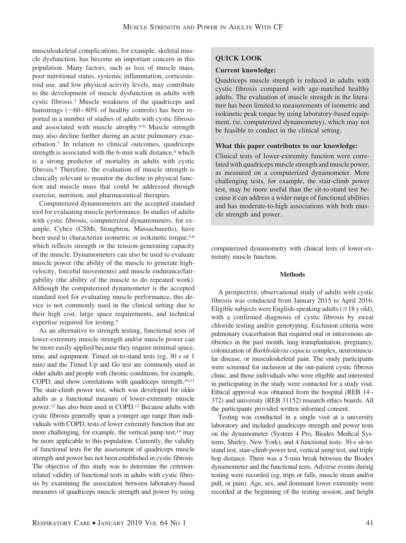musculoskeletal complications, for example, skeletal muscle dysfunction, has become an important concern in this population. Many factors, such as loss of muscle mass, poor nutritional status, systemic inflammation, corticosteroid use, and low physical activity levels, may contribute to the development of muscle dysfunction in adults with cystic fibrosis.3 Muscle weakness of the quadriceps and hamstrings  $(\sim 60 - 80\%$  of healthy controls) has been reported in a number of studies of adults with cystic fibrosis and associated with muscle atrophy.4-6 Muscle strength may also decline further during an acute pulmonary exacerbation.7 In relation to clinical outcomes, quadriceps strength is associated with the 6-min walk distance,<sup>6</sup> which is a strong predictor of mortality in adults with cystic fibrosis.8 Therefore, the evaluation of muscle strength is clinically relevant to monitor the decline in physical function and muscle mass that could be addressed through exercise, nutrition, and pharmaceutical therapies.

Computerized dynamometers are the accepted standard tool for evaluating muscle performance. In studies of adults with cystic fibrosis, computerized dynamometers, for example, Cybex (CSMi, Stoughton, Massachusetts), have been used to characterize isometric or isokinetic torque,<sup>5,6</sup> which reflects strength or the tension-generating capacity of the muscle. Dynamometers can also be used to evaluate muscle power (the ability of the muscle to generate highvelocity, forceful movements) and muscle endurance/fatigability (the ability of the muscle to do repeated work). Although the computerized dynamometer is the accepted standard tool for evaluating muscle performance, this device is not commonly used in the clinical setting due to their high cost, large space requirements, and technical expertise required for testing.9

As an alternative to strength testing, functional tests of lower-extremity muscle strength and/or muscle power can be more easily applied because they require minimal space, time, and equipment. Timed sit-to-stand tests (eg, 30 s or 1 min) and the Timed Up and Go test are commonly used in older adults and people with chronic conditions, for example, COPD, and show correlations with quadriceps strength.10,11 The stair-climb power test, which was developed for older adults as a functional measure of lower-extremity muscle power,12 has also been used in COPD.13 Because adults with cystic fibrosis generally span a younger age range than individuals with COPD, tests of lower extremity function that are more challenging, for example, the vertical jump test, $14$  may be more applicable to this population. Currently, the validity of functional tests for the assessment of quadriceps muscle strength and power has not been established in cystic fibrosis. The objective of this study was to determine the criterionrelated validity of functional tests in adults with cystic fibrosis by examining the association between laboratory-based measures of quadriceps muscle strength and power by using

## **QUICK LOOK**

#### **Current knowledge:**

Quadriceps muscle strength is reduced in adults with cystic fibrosis compared with age-matched healthy adults. The evaluation of muscle strength in the literature has been limited to measurements of isometric and isokinetic peak torque by using laboratory-based equipment, (ie, computerized dynamometry), which may not be feasible to conduct in the clinical setting.

#### **What this paper contributes to our knowledge:**

Clinical tests of lower-extremity function were correlated with quadriceps muscle strength and muscle power, as measured on a computerized dynamometer. More challenging tests, for example, the stair-climb power test, may be more useful than the sit-to-stand test because it can address a wider range of functional abilities and has moderate-to-high associations with both muscle strength and power.

computerized dynamometry with clinical tests of lower-extremity muscle function.

#### **Methods**

A prospective, observational study of adults with cystic fibrosis was conducted from January 2015 to April 2016. Eligible subjects were English-speaking adults ( $\geq$  18 y old), with a confirmed diagnosis of cystic fibrosis by sweat chloride testing and/or genotyping. Exclusion criteria were pulmonary exacerbation that required oral or intravenous antibiotics in the past month, lung transplantation, pregnancy, colonization of *Burkholderia cepacia* complex, neuromuscular disease, or musculoskeletal pain. The study participants were screened for inclusion at the out-patient cystic fibrosis clinic, and those individuals who were eligible and interested in participating in the study were contacted for a study visit. Ethical approval was obtained from the hospital (REB 14 – 372) and university (REB 31152) research ethics boards. All the participants provided written informed consent.

Testing was conducted in a single visit at a university laboratory and included quadriceps strength and power tests on the dynamometer (System 4 Pro, Biodex Medical Systems, Shirley, New York), and 4 functional tests: 30-s sit-tostand test, stair-climb power test, vertical jump test, and triple hop distance. There was a 5-min break between the Biodex dynamometer and the functional tests. Adverse events during testing were recorded (eg, trips or falls, muscle strain and/or pull, or pain). Age, sex, and dominant lower extremity were recorded at the beginning of the testing session, and height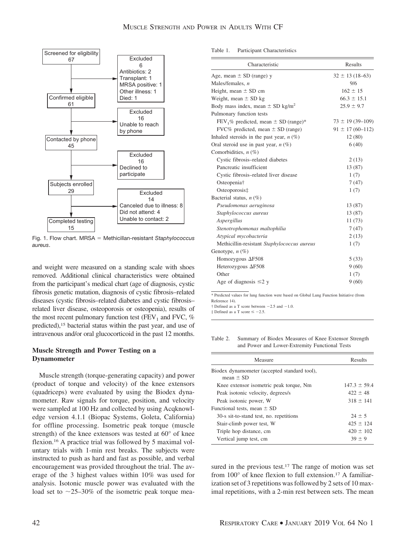

Fig. 1. Flow chart. MRSA = Methicillan-resistant *Staphylococcus aureus*.

and weight were measured on a standing scale with shoes removed. Additional clinical characteristics were obtained from the participant's medical chart (age of diagnosis, cystic fibrosis genetic mutation, diagnosis of cystic fibrosis–related diseases (cystic fibrosis–related diabetes and cystic fibrosis– related liver disease, osteoporosis or osteopenia), results of the most recent pulmonary function test (FEV<sub>1</sub> and FVC,  $%$ predicted),15 bacterial status within the past year, and use of intravenous and/or oral glucocorticoid in the past 12 months.

## **Muscle Strength and Power Testing on a Dynamometer**

Muscle strength (torque-generating capacity) and power (product of torque and velocity) of the knee extensors (quadriceps) were evaluated by using the Biodex dynamometer. Raw signals for torque, position, and velocity were sampled at 100 Hz and collected by using Acqknowledge version 4.1.1 (Biopac Systems, Goleta, California) for offline processing. Isometric peak torque (muscle strength) of the knee extensors was tested at 60° of knee flexion.16 A practice trial was followed by 5 maximal voluntary trials with 1-min rest breaks. The subjects were instructed to push as hard and fast as possible, and verbal encouragement was provided throughout the trial. The average of the 3 highest values within 10% was used for analysis. Isotonic muscle power was evaluated with the load set to  $\sim$ 25–30% of the isometric peak torque mea-

Table 1. Participant Characteristics

| Characteristic                                   | Results               |
|--------------------------------------------------|-----------------------|
| Age, mean $\pm$ SD (range) y                     | $32 \pm 13(18-63)$    |
| Males/females, $n$                               | 9/6                   |
| Height, mean $\pm$ SD cm                         | $162 \pm 15$          |
| Weight, mean $\pm$ SD kg                         | $66.3 \pm 15.1$       |
| Body mass index, mean $\pm$ SD kg/m <sup>2</sup> | $25.9 \pm 9.7$        |
| Pulmonary function tests                         |                       |
| $FEV1%$ predicted, mean $\pm$ SD (range)*        | $73 \pm 19(39 - 109)$ |
| FVC% predicted, mean $\pm$ SD (range)            | $91 \pm 17(60 - 112)$ |
| Inhaled steroids in the past year, $n$ (%)       | 12(80)                |
| Oral steroid use in past year, $n$ (%)           | 6(40)                 |
| Comorbidities, $n$ (%)                           |                       |
| Cystic fibrosis-related diabetes                 | 2(13)                 |
| Pancreatic insufficient                          | 13 (87)               |
| Cystic fibrosis-related liver disease            | 1(7)                  |
| Osteopenia†                                      | 7(47)                 |
| Osteoporosis‡                                    | 1(7)                  |
| Bacterial status, $n$ (%)                        |                       |
| Pseudomonas aeruginosa                           | 13 (87)               |
| Staphylococcus aureus                            | 13 (87)               |
| Aspergillus                                      | 11(73)                |
| Stenotrophomonas maltophilia                     | 7(47)                 |
| Atypical mycobacteria                            | 2(13)                 |
| Methicillin-resistant Staphylococcus aureus      | 1(7)                  |
| Genotype, n (%)                                  |                       |
| Homozygous $\Delta$ F508                         | 5(33)                 |
| Heterozygous $\Delta$ F508                       | 9(60)                 |
| Other                                            | 1(7)                  |
| Age of diagnosis $\leq 2$ y                      | 9(60)                 |

\* Predicted values for lung function were based on Global Lung Function Initiative (from Reference 14).

 $\dagger$  Defined as a T score between  $-2.5$  and  $-1.0$ 

 $\ddagger$  Defined as a T score  $\leq -2.5$ .

Table 2. Summary of Biodex Measures of Knee Extensor Strength and Power and Lower-Extremity Functional Tests

| Measure                                                       | Results          |
|---------------------------------------------------------------|------------------|
| Biodex dynamometer (accepted standard tool),<br>mean $\pm$ SD |                  |
| Knee extensor isometric peak torque, Nm                       | $147.3 \pm 59.4$ |
| Peak isotonic velocity, degrees/s                             | $422 \pm 48$     |
| Peak isotonic power, W                                        | $318 \pm 141$    |
| Functional tests, mean $\pm$ SD                               |                  |
| 30-s sit-to-stand test, no. repetitions                       | $24 \pm 5$       |
| Stair-climb power test, W                                     | $425 \pm 124$    |
| Triple hop distance, cm                                       | $420 \pm 102$    |
| Vertical jump test, cm                                        | $39 + 9$         |

sured in the previous test.<sup>17</sup> The range of motion was set from 100° of knee flexion to full extension.17 A familiarization set of 3 repetitions was followed by 2 sets of 10 maximal repetitions, with a 2-min rest between sets. The mean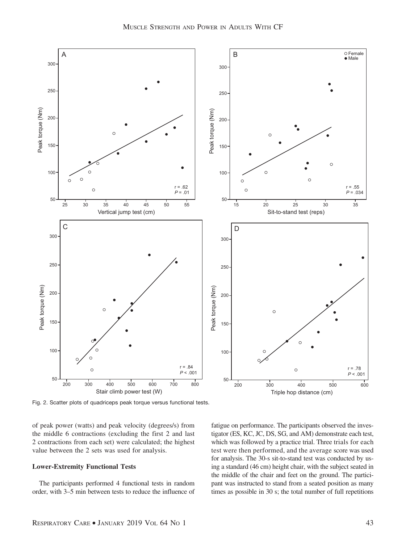

Fig. 2. Scatter plots of quadriceps peak torque versus functional tests.

of peak power (watts) and peak velocity (degrees/s) from the middle 6 contractions (excluding the first 2 and last 2 contractions from each set) were calculated; the highest value between the 2 sets was used for analysis.

#### **Lower-Extremity Functional Tests**

The participants performed 4 functional tests in random order, with 3–5 min between tests to reduce the influence of fatigue on performance. The participants observed the investigator (ES, KC, JC, DS, SG, and AM) demonstrate each test, which was followed by a practice trial. Three trials for each test were then performed, and the average score was used for analysis. The 30-s sit-to-stand test was conducted by using a standard (46 cm) height chair, with the subject seated in the middle of the chair and feet on the ground. The participant was instructed to stand from a seated position as many times as possible in 30 s; the total number of full repetitions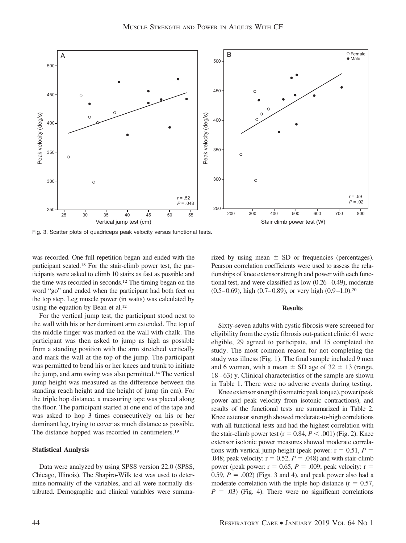

Fig. 3. Scatter plots of quadriceps peak velocity versus functional tests.

was recorded. One full repetition began and ended with the participant seated.18 For the stair-climb power test, the participants were asked to climb 10 stairs as fast as possible and the time was recorded in seconds.12 The timing began on the word "go" and ended when the participant had both feet on the top step. Leg muscle power (in watts) was calculated by using the equation by Bean et al.<sup>12</sup>

For the vertical jump test, the participant stood next to the wall with his or her dominant arm extended. The top of the middle finger was marked on the wall with chalk. The participant was then asked to jump as high as possible from a standing position with the arm stretched vertically and mark the wall at the top of the jump. The participant was permitted to bend his or her knees and trunk to initiate the jump, and arm swing was also permitted.14 The vertical jump height was measured as the difference between the standing reach height and the height of jump (in cm). For the triple hop distance, a measuring tape was placed along the floor. The participant started at one end of the tape and was asked to hop 3 times consecutively on his or her dominant leg, trying to cover as much distance as possible. The distance hopped was recorded in centimeters.19

### **Statistical Analysis**

Data were analyzed by using SPSS version 22.0 (SPSS, Chicago, Illinois). The Shapiro-Wilk test was used to determine normality of the variables, and all were normally distributed. Demographic and clinical variables were summarized by using mean  $\pm$  SD or frequencies (percentages). Pearson correlation coefficients were used to assess the relationships of knee extensor strength and power with each functional test, and were classified as low  $(0.26 - 0.49)$ , moderate  $(0.5-0.69)$ , high  $(0.7-0.89)$ , or very high  $(0.9-1.0)$ .<sup>20</sup>

#### **Results**

Sixty-seven adults with cystic fibrosis were screened for eligibility from the cystic fibrosis out-patient clinic: 61 were eligible, 29 agreed to participate, and 15 completed the study. The most common reason for not completing the study was illness (Fig. 1). The final sample included 9 men and 6 women, with a mean  $\pm$  SD age of 32  $\pm$  13 (range, 18 – 63) y. Clinical characteristics of the sample are shown in Table 1. There were no adverse events during testing.

Knee extensor strength (isometric peak torque), power (peak power and peak velocity from isotonic contractions), and results of the functional tests are summarized in Table 2. Knee extensor strength showed moderate-to-high correlations with all functional tests and had the highest correlation with the stair-climb power test ( $r = 0.84, P < .001$ ) (Fig. 2). Knee extensor isotonic power measures showed moderate correlations with vertical jump height (peak power:  $r = 0.51$ ,  $P =$ .048; peak velocity:  $r = 0.52$ ,  $P = .048$ ) and with stair-climb power (peak power:  $r = 0.65$ ,  $P = 0.00$ ; peak velocity:  $r =$ 0.59,  $P = .002$ ) (Figs. 3 and 4), and peak power also had a moderate correlation with the triple hop distance  $(r = 0.57)$ ,  $P = .03$ ) (Fig. 4). There were no significant correlations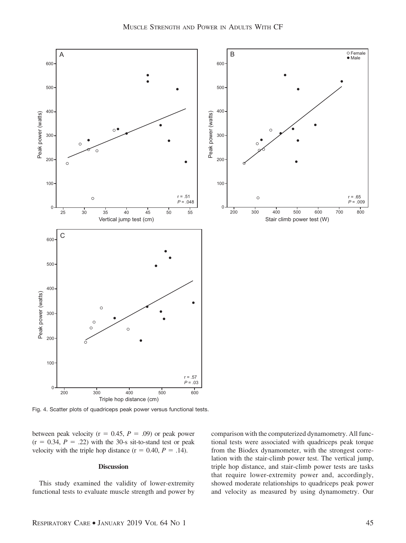

Fig. 4. Scatter plots of quadriceps peak power versus functional tests.

between peak velocity ( $r = 0.45$ ,  $P = .09$ ) or peak power  $(r = 0.34, P = .22)$  with the 30-s sit-to-stand test or peak velocity with the triple hop distance  $(r = 0.40, P = .14)$ .

#### **Discussion**

This study examined the validity of lower-extremity functional tests to evaluate muscle strength and power by comparison with the computerized dynamometry. All functional tests were associated with quadriceps peak torque from the Biodex dynamometer, with the strongest correlation with the stair-climb power test. The vertical jump, triple hop distance, and stair-climb power tests are tasks that require lower-extremity power and, accordingly, showed moderate relationships to quadriceps peak power and velocity as measured by using dynamometry. Our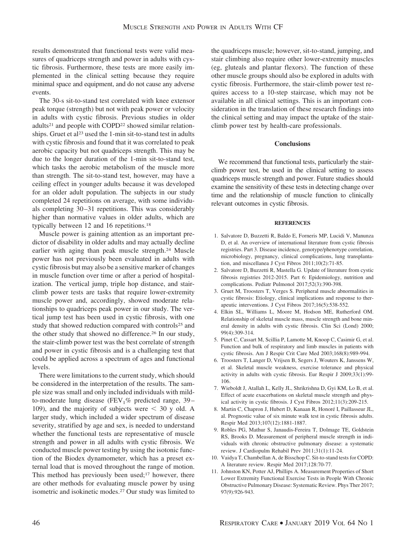results demonstrated that functional tests were valid measures of quadriceps strength and power in adults with cystic fibrosis. Furthermore, these tests are more easily implemented in the clinical setting because they require minimal space and equipment, and do not cause any adverse events.

The 30-s sit-to-stand test correlated with knee extensor peak torque (strength) but not with peak power or velocity in adults with cystic fibrosis. Previous studies in older adults<sup>21</sup> and people with COPD<sup>22</sup> showed similar relationships. Gruet et al<sup>23</sup> used the 1-min sit-to-stand test in adults with cystic fibrosis and found that it was correlated to peak aerobic capacity but not quadriceps strength. This may be due to the longer duration of the 1-min sit-to-stand test, which tasks the aerobic metabolism of the muscle more than strength. The sit-to-stand test, however, may have a ceiling effect in younger adults because it was developed for an older adult population. The subjects in our study completed 24 repetitions on average, with some individuals completing 30 –31 repetitions. This was considerably higher than normative values in older adults, which are typically between 12 and 16 repetitions.<sup>18</sup>

Muscle power is gaining attention as an important predictor of disability in older adults and may actually decline earlier with aging than peak muscle strength.24 Muscle power has not previously been evaluated in adults with cystic fibrosis but may also be a sensitive marker of changes in muscle function over time or after a period of hospitalization. The vertical jump, triple hop distance, and stairclimb power tests are tasks that require lower-extremity muscle power and, accordingly, showed moderate relationships to quadriceps peak power in our study. The vertical jump test has been used in cystic fibrosis, with one study that showed reduction compared with controls<sup>25</sup> and the other study that showed no difference.<sup>26</sup> In our study, the stair-climb power test was the best correlate of strength and power in cystic fibrosis and is a challenging test that could be applied across a spectrum of ages and functional levels.

There were limitations to the current study, which should be considered in the interpretation of the results. The sample size was small and only included individuals with mildto-moderate lung disease (FEV<sub>1</sub>% predicted range, 39 $-$ 109), and the majority of subjects were  $\leq$  30 y old. A larger study, which included a wider spectrum of disease severity, stratified by age and sex, is needed to understand whether the functional tests are representative of muscle strength and power in all adults with cystic fibrosis. We conducted muscle power testing by using the isotonic function of the Biodex dynamometer, which has a preset external load that is moved throughout the range of motion. This method has previously been used; $17$  however, there are other methods for evaluating muscle power by using isometric and isokinetic modes.27 Our study was limited to

the quadriceps muscle; however, sit-to-stand, jumping, and stair climbing also require other lower-extremity muscles (eg, gluteals and plantar flexors). The function of these other muscle groups should also be explored in adults with cystic fibrosis. Furthermore, the stair-climb power test requires access to a 10-step staircase, which may not be available in all clinical settings. This is an important consideration in the translation of these research findings into the clinical setting and may impact the uptake of the stairclimb power test by health-care professionals.

#### **Conclusions**

We recommend that functional tests, particularly the stairclimb power test, be used in the clinical setting to assess quadriceps muscle strength and power. Future studies should examine the sensitivity of these tests in detecting change over time and the relationship of muscle function to clinically relevant outcomes in cystic fibrosis.

#### **REFERENCES**

- 1. Salvatore D, Buzzetti R, Baldo E, Forneris MP, Lucidi V, Manunza D, et al. An overview of international literature from cystic fibrosis registries. Part 3. Disease incidence, genotype/phenotype correlation, microbiology, pregnancy, clinical complications, lung transplantation, and miscellanea J Cyst Fibros 2011;10(2):71-85.
- 2. Salvatore D, Buzzetti R, Mastella G. Update of literature from cystic fibrosis registries 2012-2015. Part 6: Epidemiology, nutrition and complications. Pediatr Pulmonol 2017;52(3):390-398.
- 3. Gruet M, Troosters T, Verges S. Peripheral muscle abnormalities in cystic fibrosis: Etiology, clinical implications and response to therapeutic interventions. J Cyst Fibros 2017;16(5):538-552.
- 4. Elkin SL, Williams L, Moore M, Hodson ME, Rutherford OM. Relationship of skeletal muscle mass, muscle strength and bone mineral density in adults with cystic fibrosis. Clin Sci (Lond) 2000; 99(4):309-314.
- 5. Pinet C, Cassart M, Scillia P, Lamotte M, Knoop C, Casimir G, et al. Function and bulk of respiratory and limb muscles in patients with cystic fibrosis. Am J Respir Crit Care Med 2003;168(8):989-994.
- 6. Troosters T, Langer D, Vrijsen B, Segers J, Wouters K, Janssens W, et al. Skeletal muscle weakness, exercise tolerance and physical activity in adults with cystic fibrosis. Eur Respir J 2009;33(1):99- 106.
- 7. Wieboldt J, Atallah L, Kelly JL, Shrikrishna D, Gyi KM, Lo B, et al. Effect of acute exacerbations on skeletal muscle strength and physical activity in cystic fibrosis. J Cyst Fibros 2012;11(3):209-215.
- 8. Martin C, Chapron J, Hubert D, Kanaan R, Honoré I, Paillasseur JL, al. Prognostic value of six minute walk test in cystic fibrosis adults. Respir Med 2013;107(12):1881-1887.
- 9. Robles PG, Mathur S, Janaudis-Fereira T, Dolmage TE, Goldstein RS, Brooks D. Measurement of peripheral muscle strength in individuals with chronic obstructive pulmonary disease: a systematic review. J Cardiopulm Rehabil Prev 2011;31(1):11-24.
- 10. Vaidya T, Chambellan A, de Bisschop C. Sit-to-stand tests for COPD: A literature review. Respir Med 2017;128:70-77.
- 11. Johnston KN, Potter AJ, Phillips A. Measurement Properties of Short Lower Extremity Functional Exercise Tests in People With Chronic Obstructive Pulmonary Disease: Systematic Review. Phys Ther 2017; 97(9):926-943.